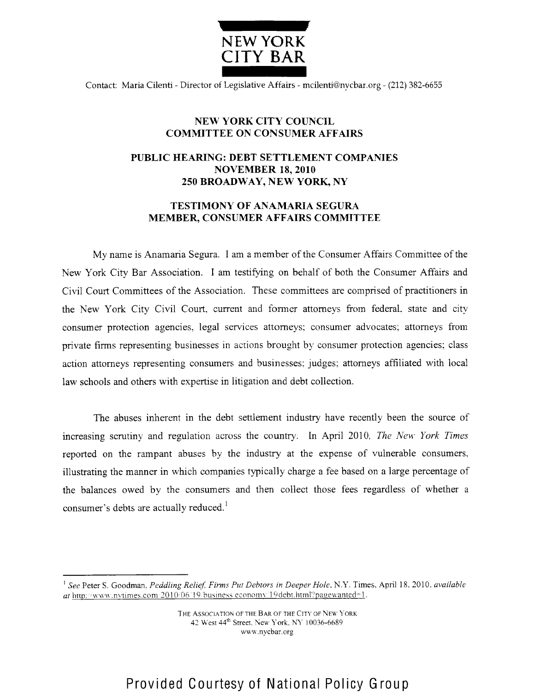

Contact: Maria Cilenti - Director of Legislative Affairs - mcilenti@nycbar.org - (212) 382-6655

## **NEW YORK CITY COUNCIL COMMITTEE ON CONSUMER AFFAIRS**

## **PUBLIC HEARING: DEBT SETTLEMENT COMPANIES NOVEMBER** 18, 2010 **250 BROADWAY, NEW YORK, NY**

## **TESTIMONY OF ANAMARIA SEGURA MEMBER, CONSUMER AFFAIRS COMMITTEE**

My name is Anamaria Segura. I am a member of the Consumer Affairs Committee of the New York City Bar Association. I am testifying on behalf of both the Consumer Affairs and Civil Court Committees of the Association. These committees are comprised of practitioners in the New York City Civil Court, current and former attorneys from federal, state and city consumer protection agencies, legal services attorneys; consumer advocates; attorneys from private firms representing businesses in actions brought by consumer protection agencies; class action attorneys representing consumers and businesses judges: attorneys affiliated with local law schools and others with expertise in litigation and debt collection.

The abuses inherent in the debt settlement industry have recently been the source of increasing scrutiny and regulation across the country. In April 2010, *The New York Times* reported on the rampant abuses by the industry at the expense of vulnerable consumers, illustrating the manner in which companies typically charge a fee based on a large percentage of the balances owed by the consumers and then collect those fees regardless of whether a consumer's debts are actually reduced.'

<sup>&</sup>lt;sup>1</sup> See Peter S. Goodman, Peddling Relief, Firms Put Debtors in Deeper Hole, N.Y. Times, April 18. 2010. *available*  $at$  http://www.nvtimes.com  $2010/06$  19 business economy 19debt.html?pagewanted=1.

THE ASSOCIATION OF THE BAR OF THE CITY OF NEW YORK 42 West 44<sup>th</sup> Street. New York, NY 10036-6689 www.nycbar.org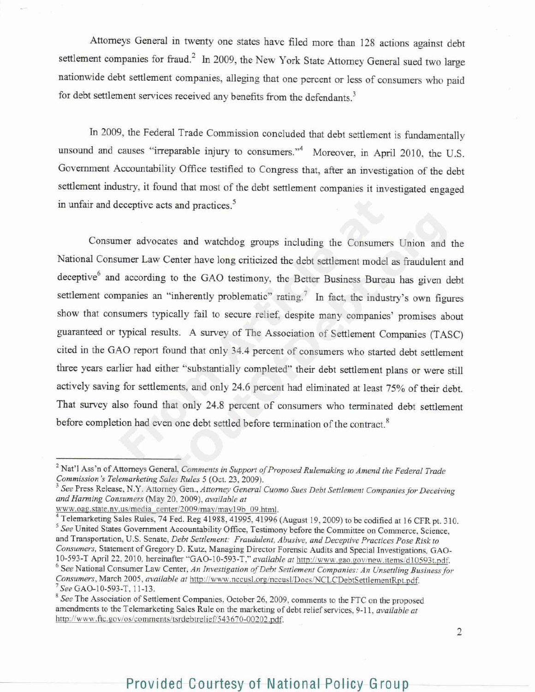Attorneys General in twenty one states have filed more than 128 actions against debt settlement companies for fraud.<sup>2</sup> In 2009, the New York State Attorney General sued two large nationwide debt settlement companies, alleging that one percent or less of consumers who paid for debt settlement services received any benefits from the defendants.

In 2009, the Federal Trade Commission concluded that debt settlement is fundamentally unsound and causes "irreparable injury to consumers."<sup>4</sup> Moreover, in April 2010, the U.S. Government Accountability Office testified to Congress that, after an investigation of the debt settlement industry, it found that most of the debt settlement companies it investigated engaged in unfair and deceptive acts and practices.<sup>5</sup>

Consumer advocates and watchdog groups including the Consumers Union and the National Consumer Law Center have long criticized the debt settlement model as fraudulent and deceptive<sup>6</sup> and according to the GAO testimony, the Better Business Bureau has given debt settlement companies an "inherently problematic" rating.<sup>7</sup> In fact, the industry's own figures show that consumers typically fail to secure relief, despite many companies' promises about guaranteed or typical results. A survey of The Association of Settlement Companies (TASC) cited in the GAO report found that only 34.4 percent of consumers who started debt settlement three years earlier had either "substantially completed" their debt settlement plans or were still actively saving for settlements, and only 24.6 percent had eliminated at least 75% of their debt. That survey also found that only 24.8 percent of consumers who terminated debt settlement before completion had even one debt settled before termination of the contract.

www.oag.state.nv.us/media\_center/2009/may/may19b\_09.html.

Telemarketing Sales Rules, 74 Fed. Reg 41988, 41995, 41996 (August 19, 2009) to be codified at 16 CFR pt. 310. <sup>5</sup> See United States Government Accountability Office, Testimony before the Committee on Commerce, Science, and Transportation, U.S. Senate, *Debt Settlement: Fraudulent, Abusive, and Deceptive Practices Pose Risk to Consumers,* Statement of Gregory D. Kutz, Managing Director Forensic Audits and Special Investigations, GAO-10-593-T April 22, 2010, hereinafter "GAO-10-593-T," *available at http://www.gao.gov/new.items/d10593t.pdf.* See National Consumer Law Center, *An Investigation of Debt Settlement Companies: An L'nsettling Business for Consumers, March 2005, <i>available at http:*//www.nccusl.org/nccusl/Docs/NCLCDebtSettlementRpt.pdf. *See* GAO-10-593-T, 11-13.

Nat'1 Ass'n of Attorneys General, *Comments in* Support *of Proposed Rulemaking to Amend the Federal Trade Commission 's Telemarl eting Sales Rules* 5 (Oct. 23, 2009).

<sup>&</sup>lt;sup>3</sup> See Press Release, N.Y. Attorney Gen., Attorney General Cuomo Sues Debt Settlement Companies for Deceiving *and Harming Consumers* (May 20. 2009), *available at*

<sup>&</sup>lt;sup>8</sup> See The Association of Settlement Companies, October 26, 2009, comments to the FTC on the proposed amendments to the Telemarketing Sales Rule on the marketing of debt relief services, 9-11, *available at* http://www.ftc.gov/os/comments/tsrdebtrelief/543670-00202.pdf.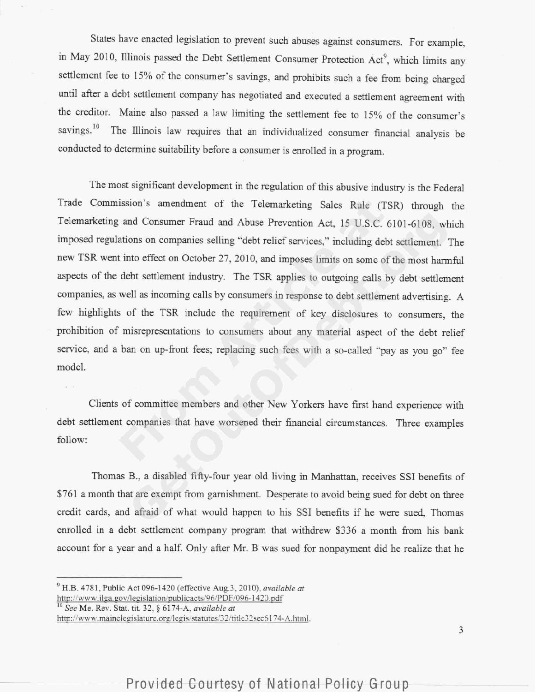States have enacted legislation to prevent such abuses against consumers. For example, in May 2010, Illinois passed the Debt Settlement Consumer Protection Act<sup>9</sup>, which limits any settlement fee to 15% of the consumer's savings, and prohibits such a fee from being charged until after a debt settlement company has negotiated and executed a settlement agreement with the creditor. Maine also passed a law limiting the settlement fee to 15% of the consumer's savings.<sup>10</sup> The Illinois law requires that an individualized consumer financial analysis be conducted to determine suitability before a consumer is enrolled in a program.

The most significant development in the regulation of this abusive industry is the Federal Trade Commission's amendment of the Telemarketing Sales Rule (TSR) through the Telemarketing and Consumer Fraud and Abuse Prevention Act, 15 U.S.C. 6101-6108, which imposed regulations on companies selling "debt relief services," including debt settlement. The new TSR went into effect on October 27, 2010, and imposes limits on some of the most harmful aspects of the debt settlement industry. The TSR applies to outgoing calls by debt settlement companies, as well as incoming calls by consumers in response to debt settlement advertising. A few highlights of the TSR include the requirement of key disclosures to consumers, the prohibition of misrepresentations to consumers about any material aspect of the debt relief service, and a ban on up-front fees; replacing such fees with a so-called "pay as you go" fee model.

Clients of committee members and other New Yorkers have first hand experience with debt settlement companies that have worsened their financial circumstances. Three examples follow:

Thomas B., a disabled fifty-four year old living in Manhattan, receives SSI benefits of \$761 a month that are exempt from garnishment. Desperate to avoid being sued for debt on three credit cards, and afraid of what would happen to his SSI benefits if he were sued, Thomas enrolled in a debt settlement company program that withdrew \$336 a month from his bank account for a year and a half. Only after Mr. B was sued for nonpayment did he realize that he

See Me. Rev. Stat. tit. 32, ) 6174-A, *available at* http://www.mainelegislature.org/legis/statutes/32/title32sec6174-A.html.

H.B. 4781. Public Act 096-1420 (effective Aug.3, 2010), *available at* http://www.ilga.gov/legislation/publicacts/96/PDF/096-1420.pd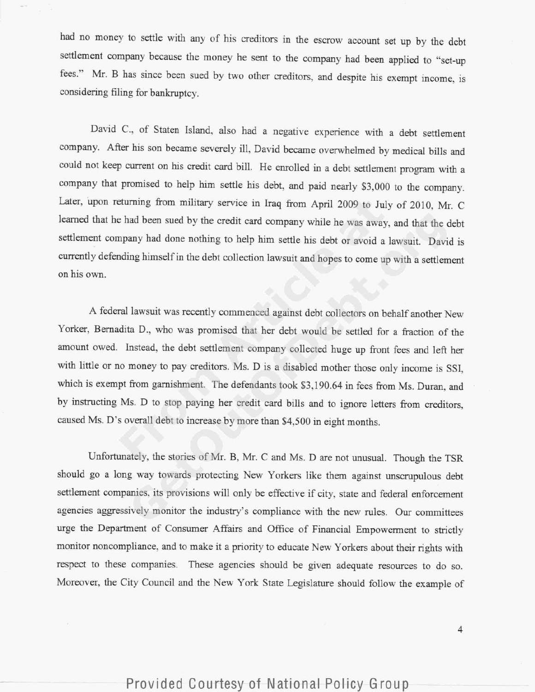had no money to settle with any of his creditors in the escrow account set up by the debt settlement company because the money he sent to the company had been applied to "set-up fees." Mr. B has since been sued by two other creditors, and despite his exempt income, is considering filing for bankruptcy.

David C., of Staten Island, also had a negative experience with a debt settlement company. After his son became severely ill, David became overwhelmed by medical bills and could not keep current on his credit card bill. He enrolled in a debt settlement program with a company that promised to help him settle his debt, and paid nearly \$3,000 to the company. Later, upon returning from military service in Iraq from April 2009 to July of 2010, Mr. C learned that he had been sued by the credit card company while he was away. and that the debt settlement company had done nothing to help him settle his debt or avoid a lawsuit. David is currently defending himself in the debt collection lawsuit and hopes to come up with a settlement on his own.

A federal lawsuit was recently commenced against debt collectors on behalf another New Yorker, Bernadita D., who was promised that her debt would be settled for a fraction of the amount owed. Instead, the debt settlement company collected huge up front fees and left her with little or no money to pay creditors. Ms. D is a disabled mother those only income is SSI, which is exempt from garnishment. The defendants took \$3,190.64 in fees from Ms. Duran, and by instructing Ms. D to stop paying her credit card bills and to ignore letters from creditors, caused Ms. D's overall debt to increase by more than \$4,500 in eight months.

Unfortunately, the stories of Mr. B, Mr. C and Ms. D are not unusual. Though the TSR should go a long way towards protecting New Yorkers like them against unscrupulous debt settlement companies, its provisions will only be effective if city, state and federal enforcement agencies aggressively monitor the industry's compliance with the new rules. Our committees urge the Department of Consumer Affairs and Office of Financial Empowerment to strictly monitor noncompliance, and to make it a priority to educate New Yorkers about their rights with respect to these companies. These agencies should be given adequate resources to do so. Moreover, the City Council and the New York State Legislature should follov the example of

 $\overline{4}$